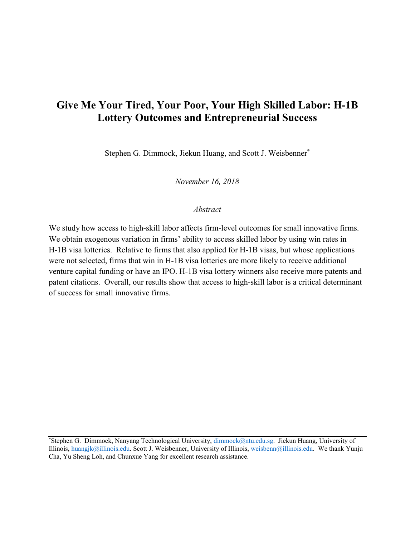# **Give Me Your Tired, Your Poor, Your High Skilled Labor: H-1B Lottery Outcomes and Entrepreneurial Success**

Stephen G. Dimmock, Jiekun Huang, and Scott J. Weisbenner\*

*November 16, 2018*

#### *Abstract*

We study how access to high-skill labor affects firm-level outcomes for small innovative firms. We obtain exogenous variation in firms' ability to access skilled labor by using win rates in H-1B visa lotteries. Relative to firms that also applied for H-1B visas, but whose applications were not selected, firms that win in H-1B visa lotteries are more likely to receive additional venture capital funding or have an IPO. H-1B visa lottery winners also receive more patents and patent citations. Overall, our results show that access to high-skill labor is a critical determinant of success for small innovative firms.

<sup>\*</sup>Stephen G. Dimmock, Nanyang Technological University, [dimmock@ntu.edu.sg.](mailto:dimmock@ntu.edu.sg) Jiekun Huang, University of Illinois, [huangjk@illinois.edu.](mailto:huangjk@illinois.edu) Scott J. Weisbenner, University of Illinois, [weisbenn@illinois.edu.](mailto:weisbenn@illinois.edu) We thank Yunju Cha, Yu Sheng Loh, and Chunxue Yang for excellent research assistance.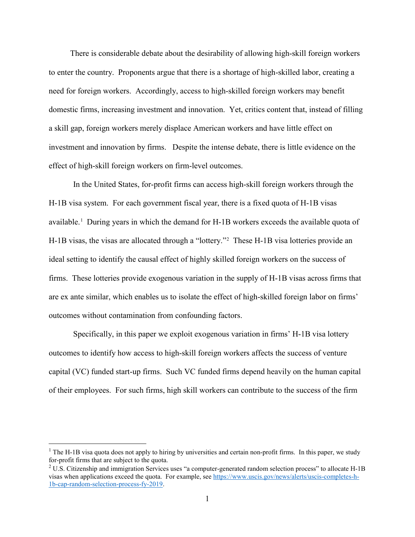There is considerable debate about the desirability of allowing high-skill foreign workers to enter the country. Proponents argue that there is a shortage of high-skilled labor, creating a need for foreign workers. Accordingly, access to high-skilled foreign workers may benefit domestic firms, increasing investment and innovation. Yet, critics content that, instead of filling a skill gap, foreign workers merely displace American workers and have little effect on investment and innovation by firms. Despite the intense debate, there is little evidence on the effect of high-skill foreign workers on firm-level outcomes.

In the United States, for-profit firms can access high-skill foreign workers through the H-1B visa system. For each government fiscal year, there is a fixed quota of H-1B visas available.<sup>[1](#page-1-0)</sup> During years in which the demand for H-1B workers exceeds the available quota of H-1B visas, the visas are allocated through a "lottery."[2](#page-1-1) These H-1B visa lotteries provide an ideal setting to identify the causal effect of highly skilled foreign workers on the success of firms. These lotteries provide exogenous variation in the supply of H-1B visas across firms that are ex ante similar, which enables us to isolate the effect of high-skilled foreign labor on firms' outcomes without contamination from confounding factors.

Specifically, in this paper we exploit exogenous variation in firms' H-1B visa lottery outcomes to identify how access to high-skill foreign workers affects the success of venture capital (VC) funded start-up firms. Such VC funded firms depend heavily on the human capital of their employees. For such firms, high skill workers can contribute to the success of the firm

 $\overline{a}$ 

<span id="page-1-0"></span> $<sup>1</sup>$  The H-1B visa quota does not apply to hiring by universities and certain non-profit firms. In this paper, we study</sup> for-profit firms that are subject to the quota.

<span id="page-1-1"></span><sup>2</sup> U.S. Citizenship and immigration Services uses "a computer-generated random selection process" to allocate H-1B visas when applications exceed the quota. For example, se[e https://www.uscis.gov/news/alerts/uscis-completes-h-](https://www.uscis.gov/news/alerts/uscis-completes-h-1b-cap-random-selection-process-fy-2019)[1b-cap-random-selection-process-fy-2019.](https://www.uscis.gov/news/alerts/uscis-completes-h-1b-cap-random-selection-process-fy-2019)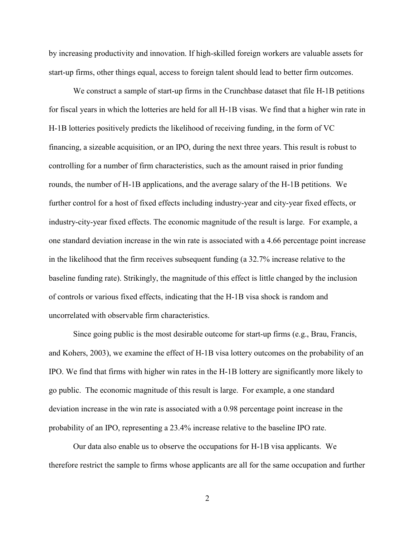by increasing productivity and innovation. If high-skilled foreign workers are valuable assets for start-up firms, other things equal, access to foreign talent should lead to better firm outcomes.

We construct a sample of start-up firms in the Crunchbase dataset that file H-1B petitions for fiscal years in which the lotteries are held for all H-1B visas. We find that a higher win rate in H-1B lotteries positively predicts the likelihood of receiving funding, in the form of VC financing, a sizeable acquisition, or an IPO, during the next three years. This result is robust to controlling for a number of firm characteristics, such as the amount raised in prior funding rounds, the number of H-1B applications, and the average salary of the H-1B petitions. We further control for a host of fixed effects including industry-year and city-year fixed effects, or industry-city-year fixed effects. The economic magnitude of the result is large. For example, a one standard deviation increase in the win rate is associated with a 4.66 percentage point increase in the likelihood that the firm receives subsequent funding (a 32.7% increase relative to the baseline funding rate). Strikingly, the magnitude of this effect is little changed by the inclusion of controls or various fixed effects, indicating that the H-1B visa shock is random and uncorrelated with observable firm characteristics.

Since going public is the most desirable outcome for start-up firms (e.g., Brau, Francis, and Kohers, 2003), we examine the effect of H-1B visa lottery outcomes on the probability of an IPO. We find that firms with higher win rates in the H-1B lottery are significantly more likely to go public. The economic magnitude of this result is large. For example, a one standard deviation increase in the win rate is associated with a 0.98 percentage point increase in the probability of an IPO, representing a 23.4% increase relative to the baseline IPO rate.

Our data also enable us to observe the occupations for H-1B visa applicants. We therefore restrict the sample to firms whose applicants are all for the same occupation and further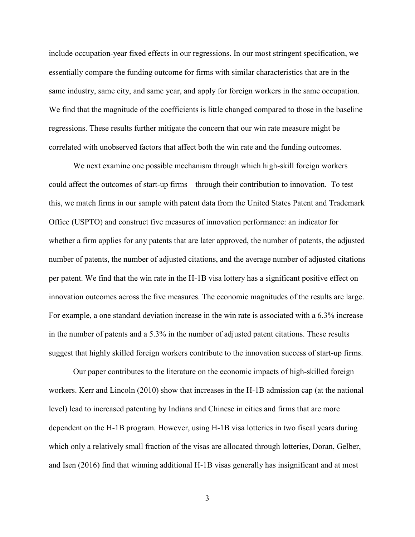include occupation-year fixed effects in our regressions. In our most stringent specification, we essentially compare the funding outcome for firms with similar characteristics that are in the same industry, same city, and same year, and apply for foreign workers in the same occupation. We find that the magnitude of the coefficients is little changed compared to those in the baseline regressions. These results further mitigate the concern that our win rate measure might be correlated with unobserved factors that affect both the win rate and the funding outcomes.

We next examine one possible mechanism through which high-skill foreign workers could affect the outcomes of start-up firms – through their contribution to innovation. To test this, we match firms in our sample with patent data from the United States Patent and Trademark Office (USPTO) and construct five measures of innovation performance: an indicator for whether a firm applies for any patents that are later approved, the number of patents, the adjusted number of patents, the number of adjusted citations, and the average number of adjusted citations per patent. We find that the win rate in the H-1B visa lottery has a significant positive effect on innovation outcomes across the five measures. The economic magnitudes of the results are large. For example, a one standard deviation increase in the win rate is associated with a 6.3% increase in the number of patents and a 5.3% in the number of adjusted patent citations. These results suggest that highly skilled foreign workers contribute to the innovation success of start-up firms.

Our paper contributes to the literature on the economic impacts of high-skilled foreign workers. Kerr and Lincoln (2010) show that increases in the H-1B admission cap (at the national level) lead to increased patenting by Indians and Chinese in cities and firms that are more dependent on the H-1B program. However, using H-1B visa lotteries in two fiscal years during which only a relatively small fraction of the visas are allocated through lotteries, Doran, Gelber, and Isen (2016) find that winning additional H-1B visas generally has insignificant and at most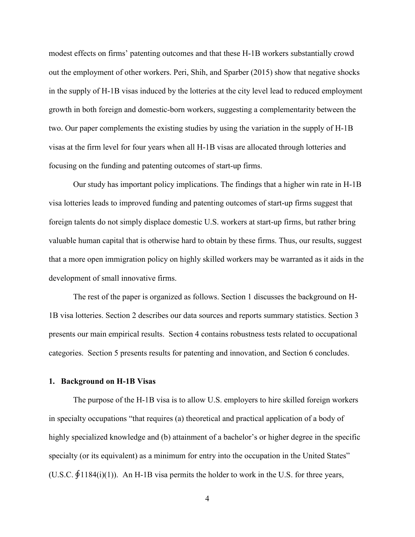modest effects on firms' patenting outcomes and that these H-1B workers substantially crowd out the employment of other workers. Peri, Shih, and Sparber (2015) show that negative shocks in the supply of H-1B visas induced by the lotteries at the city level lead to reduced employment growth in both foreign and domestic-born workers, suggesting a complementarity between the two. Our paper complements the existing studies by using the variation in the supply of H-1B visas at the firm level for four years when all H-1B visas are allocated through lotteries and focusing on the funding and patenting outcomes of start-up firms.

Our study has important policy implications. The findings that a higher win rate in H-1B visa lotteries leads to improved funding and patenting outcomes of start-up firms suggest that foreign talents do not simply displace domestic U.S. workers at start-up firms, but rather bring valuable human capital that is otherwise hard to obtain by these firms. Thus, our results, suggest that a more open immigration policy on highly skilled workers may be warranted as it aids in the development of small innovative firms.

The rest of the paper is organized as follows. Section 1 discusses the background on H-1B visa lotteries. Section 2 describes our data sources and reports summary statistics. Section 3 presents our main empirical results. Section 4 contains robustness tests related to occupational categories. Section 5 presents results for patenting and innovation, and Section 6 concludes.

#### **1. Background on H-1B Visas**

The purpose of the H-1B visa is to allow U.S. employers to hire skilled foreign workers in specialty occupations "that requires (a) theoretical and practical application of a body of highly specialized knowledge and (b) attainment of a bachelor's or higher degree in the specific specialty (or its equivalent) as a minimum for entry into the occupation in the United States" (U.S.C.  $\oint$ 1184(i)(1)). An H-1B visa permits the holder to work in the U.S. for three years,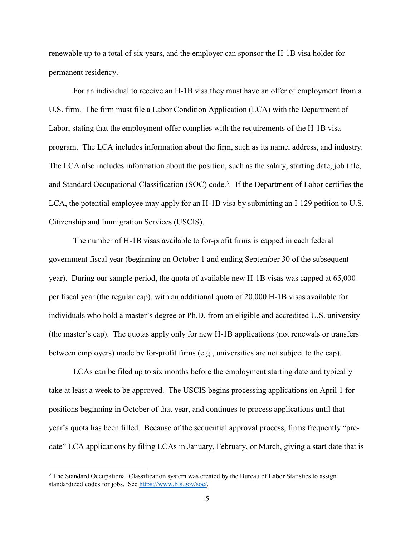renewable up to a total of six years, and the employer can sponsor the H-1B visa holder for permanent residency.

For an individual to receive an H-1B visa they must have an offer of employment from a U.S. firm. The firm must file a Labor Condition Application (LCA) with the Department of Labor, stating that the employment offer complies with the requirements of the H-1B visa program. The LCA includes information about the firm, such as its name, address, and industry. The LCA also includes information about the position, such as the salary, starting date, job title, and Standard Occupational Classification (SOC) code. [3](#page-5-0) . If the Department of Labor certifies the LCA, the potential employee may apply for an H-1B visa by submitting an I-129 petition to U.S. Citizenship and Immigration Services (USCIS).

The number of H-1B visas available to for-profit firms is capped in each federal government fiscal year (beginning on October 1 and ending September 30 of the subsequent year). During our sample period, the quota of available new H-1B visas was capped at 65,000 per fiscal year (the regular cap), with an additional quota of 20,000 H-1B visas available for individuals who hold a master's degree or Ph.D. from an eligible and accredited U.S. university (the master's cap). The quotas apply only for new H-1B applications (not renewals or transfers between employers) made by for-profit firms (e.g., universities are not subject to the cap).

LCAs can be filed up to six months before the employment starting date and typically take at least a week to be approved. The USCIS begins processing applications on April 1 for positions beginning in October of that year, and continues to process applications until that year's quota has been filled. Because of the sequential approval process, firms frequently "predate" LCA applications by filing LCAs in January, February, or March, giving a start date that is

 $\overline{a}$ 

<span id="page-5-0"></span><sup>&</sup>lt;sup>3</sup> The Standard Occupational Classification system was created by the Bureau of Labor Statistics to assign standardized codes for jobs. Se[e https://www.bls.gov/soc/.](https://www.bls.gov/soc/)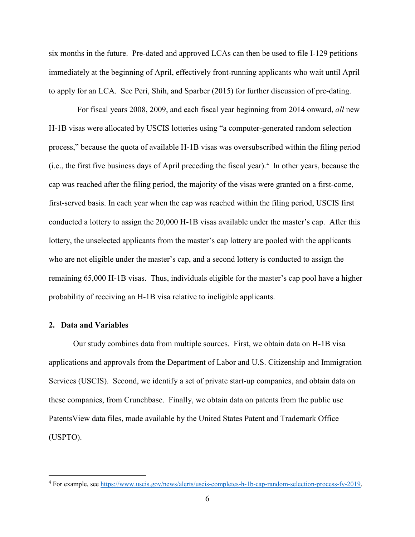six months in the future. Pre-dated and approved LCAs can then be used to file I-129 petitions immediately at the beginning of April, effectively front-running applicants who wait until April to apply for an LCA. See Peri, Shih, and Sparber (2015) for further discussion of pre-dating.

 For fiscal years 2008, 2009, and each fiscal year beginning from 2014 onward, *all* new H-1B visas were allocated by USCIS lotteries using "a computer-generated random selection process," because the quota of available H-1B visas was oversubscribed within the filing period (i.e., the first five business days of April preceding the fiscal year). [4](#page-6-0) In other years, because the cap was reached after the filing period, the majority of the visas were granted on a first-come, first-served basis. In each year when the cap was reached within the filing period, USCIS first conducted a lottery to assign the 20,000 H-1B visas available under the master's cap. After this lottery, the unselected applicants from the master's cap lottery are pooled with the applicants who are not eligible under the master's cap, and a second lottery is conducted to assign the remaining 65,000 H-1B visas. Thus, individuals eligible for the master's cap pool have a higher probability of receiving an H-1B visa relative to ineligible applicants.

### **2. Data and Variables**

 $\overline{a}$ 

Our study combines data from multiple sources. First, we obtain data on H-1B visa applications and approvals from the Department of Labor and U.S. Citizenship and Immigration Services (USCIS). Second, we identify a set of private start-up companies, and obtain data on these companies, from Crunchbase. Finally, we obtain data on patents from the public use PatentsView data files, made available by the United States Patent and Trademark Office (USPTO).

<span id="page-6-0"></span><sup>4</sup> For example, see [https://www.uscis.gov/news/alerts/uscis-completes-h-1b-cap-random-selection-process-fy-2019.](https://www.uscis.gov/news/alerts/uscis-completes-h-1b-cap-random-selection-process-fy-2019)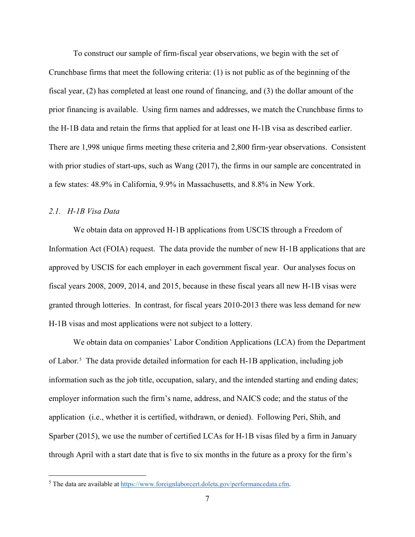To construct our sample of firm-fiscal year observations, we begin with the set of Crunchbase firms that meet the following criteria: (1) is not public as of the beginning of the fiscal year, (2) has completed at least one round of financing, and (3) the dollar amount of the prior financing is available. Using firm names and addresses, we match the Crunchbase firms to the H-1B data and retain the firms that applied for at least one H-1B visa as described earlier. There are 1,998 unique firms meeting these criteria and 2,800 firm-year observations. Consistent with prior studies of start-ups, such as Wang (2017), the firms in our sample are concentrated in a few states: 48.9% in California, 9.9% in Massachusetts, and 8.8% in New York.

#### *2.1. H-1B Visa Data*

 $\overline{a}$ 

We obtain data on approved H-1B applications from USCIS through a Freedom of Information Act (FOIA) request. The data provide the number of new H-1B applications that are approved by USCIS for each employer in each government fiscal year. Our analyses focus on fiscal years 2008, 2009, 2014, and 2015, because in these fiscal years all new H-1B visas were granted through lotteries. In contrast, for fiscal years 2010-2013 there was less demand for new H-1B visas and most applications were not subject to a lottery.

We obtain data on companies' Labor Condition Applications (LCA) from the Department of Labor.[5](#page-7-0) The data provide detailed information for each H-1B application, including job information such as the job title, occupation, salary, and the intended starting and ending dates; employer information such the firm's name, address, and NAICS code; and the status of the application (i.e., whether it is certified, withdrawn, or denied). Following Peri, Shih, and Sparber (2015), we use the number of certified LCAs for H-1B visas filed by a firm in January through April with a start date that is five to six months in the future as a proxy for the firm's

<span id="page-7-0"></span><sup>&</sup>lt;sup>5</sup> The data are available at  $\frac{https://www.foreignlaborcert.doleta.gov/performancedata.cfm.}{}$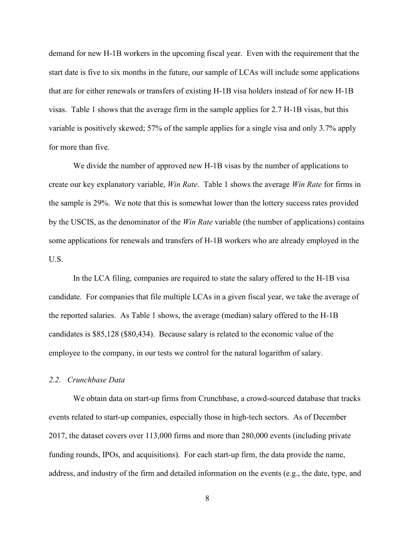demand for new H-1B workers in the upcoming fiscal year. Even with the requirement that the start date is five to six months in the future, our sample of LCAs will include some applications that are for either renewals or transfers of existing H-1B visa holders instead of for new H-1B visas. Table 1 shows that the average firm in the sample applies for 2.7 H-1B visas, but this variable is positively skewed; 57% of the sample applies for a single visa and only 3.7% apply for more than five.

We divide the number of approved new H-1B visas by the number of applications to create our key explanatory variable, *Win Rate*. Table 1 shows the average *Win Rate* for firms in the sample is 29%. We note that this is somewhat lower than the lottery success rates provided by the USCIS, as the denominator of the *Win Rate* variable (the number of applications) contains some applications for renewals and transfers of H-1B workers who are already employed in the U.S.

In the LCA filing, companies are required to state the salary offered to the H-1B visa candidate. For companies that file multiple LCAs in a given fiscal year, we take the average of the reported salaries. As Table 1 shows, the average (median) salary offered to the H-1B candidates is \$85,128 (\$80,434). Because salary is related to the economic value of the employee to the company, in our tests we control for the natural logarithm of salary.

#### *2.2. Crunchbase Data*

We obtain data on start-up firms from Crunchbase, a crowd-sourced database that tracks events related to start-up companies, especially those in high-tech sectors. As of December 2017, the dataset covers over 113,000 firms and more than 280,000 events (including private funding rounds, IPOs, and acquisitions). For each start-up firm, the data provide the name, address, and industry of the firm and detailed information on the events (e.g., the date, type, and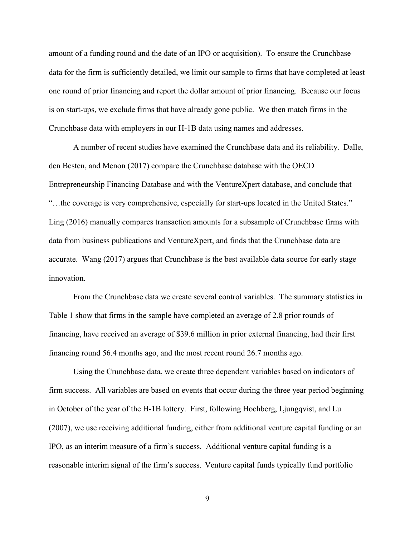amount of a funding round and the date of an IPO or acquisition). To ensure the Crunchbase data for the firm is sufficiently detailed, we limit our sample to firms that have completed at least one round of prior financing and report the dollar amount of prior financing. Because our focus is on start-ups, we exclude firms that have already gone public. We then match firms in the Crunchbase data with employers in our H-1B data using names and addresses.

A number of recent studies have examined the Crunchbase data and its reliability. Dalle, den Besten, and Menon (2017) compare the Crunchbase database with the OECD Entrepreneurship Financing Database and with the VentureXpert database, and conclude that "…the coverage is very comprehensive, especially for start-ups located in the United States." Ling (2016) manually compares transaction amounts for a subsample of Crunchbase firms with data from business publications and VentureXpert, and finds that the Crunchbase data are accurate. Wang (2017) argues that Crunchbase is the best available data source for early stage innovation.

From the Crunchbase data we create several control variables. The summary statistics in Table 1 show that firms in the sample have completed an average of 2.8 prior rounds of financing, have received an average of \$39.6 million in prior external financing, had their first financing round 56.4 months ago, and the most recent round 26.7 months ago.

Using the Crunchbase data, we create three dependent variables based on indicators of firm success. All variables are based on events that occur during the three year period beginning in October of the year of the H-1B lottery. First, following Hochberg, Ljungqvist, and Lu (2007), we use receiving additional funding, either from additional venture capital funding or an IPO, as an interim measure of a firm's success. Additional venture capital funding is a reasonable interim signal of the firm's success. Venture capital funds typically fund portfolio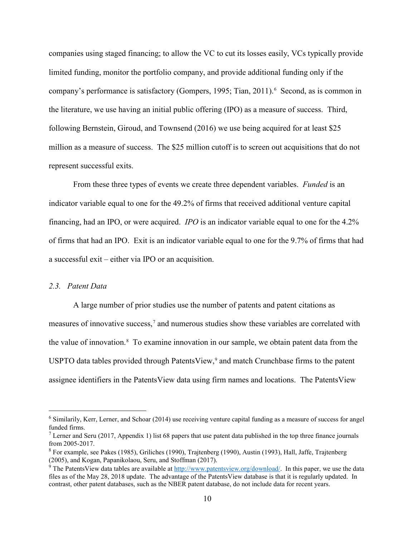companies using staged financing; to allow the VC to cut its losses easily, VCs typically provide limited funding, monitor the portfolio company, and provide additional funding only if the company's performance is satisfactory (Gompers, 1995; Tian, 2011).<sup>[6](#page-10-0)</sup> Second, as is common in the literature, we use having an initial public offering (IPO) as a measure of success. Third, following Bernstein, Giroud, and Townsend (2016) we use being acquired for at least \$25 million as a measure of success. The \$25 million cutoff is to screen out acquisitions that do not represent successful exits.

From these three types of events we create three dependent variables. *Funded* is an indicator variable equal to one for the 49.2% of firms that received additional venture capital financing, had an IPO, or were acquired. *IPO* is an indicator variable equal to one for the 4.2% of firms that had an IPO. Exit is an indicator variable equal to one for the 9.7% of firms that had a successful exit – either via IPO or an acquisition.

#### *2.3. Patent Data*

 $\overline{a}$ 

A large number of prior studies use the number of patents and patent citations as measures of innovative success,[7](#page-10-1) and numerous studies show these variables are correlated with the value of innovation.<sup>[8](#page-10-2)</sup> To examine innovation in our sample, we obtain patent data from the USPTO data tables provided through PatentsView, [9](#page-10-3) and match Crunchbase firms to the patent assignee identifiers in the PatentsView data using firm names and locations. The PatentsView

<span id="page-10-0"></span><sup>&</sup>lt;sup>6</sup> Similarily, Kerr, Lerner, and Schoar (2014) use receiving venture capital funding as a measure of success for angel funded firms.

<span id="page-10-1"></span><sup>&</sup>lt;sup>7</sup> Lerner and Seru (2017, Appendix 1) list 68 papers that use patent data published in the top three finance journals from 2005-2017.

<span id="page-10-2"></span><sup>8</sup> For example, see Pakes (1985), Griliches (1990), Trajtenberg (1990), Austin (1993), Hall, Jaffe, Trajtenberg (2005), and Kogan, Papanikolaou, Seru, and Stoffman (2017).

<span id="page-10-3"></span><sup>&</sup>lt;sup>9</sup> The PatentsView data tables are available at  $\frac{http://www.patentsview.org/download/}{http://www.patentsview.org-download/}.$  In this paper, we use the data files as of the May 28, 2018 update. The advantage of the PatentsView database is that it is regularly updated. In contrast, other patent databases, such as the NBER patent database, do not include data for recent years.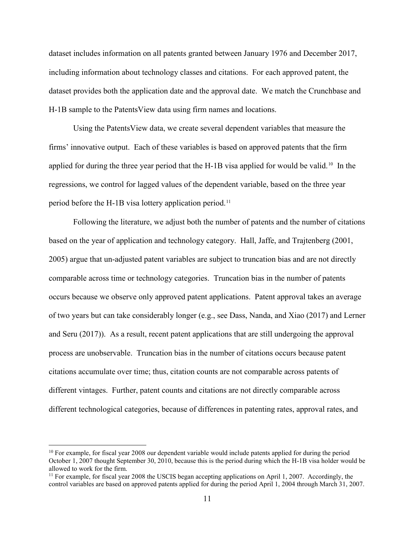dataset includes information on all patents granted between January 1976 and December 2017, including information about technology classes and citations. For each approved patent, the dataset provides both the application date and the approval date. We match the Crunchbase and H-1B sample to the PatentsView data using firm names and locations.

Using the PatentsView data, we create several dependent variables that measure the firms' innovative output. Each of these variables is based on approved patents that the firm applied for during the three year period that the H-1B visa applied for would be valid.<sup>[10](#page-11-0)</sup> In the regressions, we control for lagged values of the dependent variable, based on the three year period before the H-1B visa lottery application period.<sup>[11](#page-11-1)</sup>

Following the literature, we adjust both the number of patents and the number of citations based on the year of application and technology category. Hall, Jaffe, and Trajtenberg (2001, 2005) argue that un-adjusted patent variables are subject to truncation bias and are not directly comparable across time or technology categories. Truncation bias in the number of patents occurs because we observe only approved patent applications. Patent approval takes an average of two years but can take considerably longer (e.g., see Dass, Nanda, and Xiao (2017) and Lerner and Seru (2017)). As a result, recent patent applications that are still undergoing the approval process are unobservable. Truncation bias in the number of citations occurs because patent citations accumulate over time; thus, citation counts are not comparable across patents of different vintages. Further, patent counts and citations are not directly comparable across different technological categories, because of differences in patenting rates, approval rates, and

 $\overline{a}$ 

<span id="page-11-0"></span> $10$  For example, for fiscal year 2008 our dependent variable would include patents applied for during the period October 1, 2007 thought September 30, 2010, because this is the period during which the H-1B visa holder would be allowed to work for the firm.

<span id="page-11-1"></span> $11$  For example, for fiscal year 2008 the USCIS began accepting applications on April 1, 2007. Accordingly, the control variables are based on approved patents applied for during the period April 1, 2004 through March 31, 2007.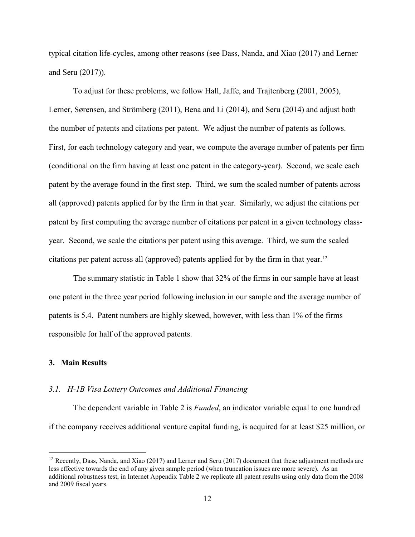typical citation life-cycles, among other reasons (see Dass, Nanda, and Xiao (2017) and Lerner and Seru (2017)).

To adjust for these problems, we follow Hall, Jaffe, and Trajtenberg (2001, 2005), Lerner, Sørensen, and Strömberg (2011), Bena and Li (2014), and Seru (2014) and adjust both the number of patents and citations per patent. We adjust the number of patents as follows. First, for each technology category and year, we compute the average number of patents per firm (conditional on the firm having at least one patent in the category-year). Second, we scale each patent by the average found in the first step. Third, we sum the scaled number of patents across all (approved) patents applied for by the firm in that year. Similarly, we adjust the citations per patent by first computing the average number of citations per patent in a given technology classyear. Second, we scale the citations per patent using this average. Third, we sum the scaled citations per patent across all (approved) patents applied for by the firm in that year.[12](#page-12-0)

The summary statistic in Table 1 show that 32% of the firms in our sample have at least one patent in the three year period following inclusion in our sample and the average number of patents is 5.4. Patent numbers are highly skewed, however, with less than 1% of the firms responsible for half of the approved patents.

### **3. Main Results**

 $\overline{a}$ 

#### *3.1. H-1B Visa Lottery Outcomes and Additional Financing*

The dependent variable in Table 2 is *Funded*, an indicator variable equal to one hundred if the company receives additional venture capital funding, is acquired for at least \$25 million, or

<span id="page-12-0"></span><sup>&</sup>lt;sup>12</sup> Recently, Dass, Nanda, and Xiao (2017) and Lerner and Seru (2017) document that these adjustment methods are less effective towards the end of any given sample period (when truncation issues are more severe). As an additional robustness test, in Internet Appendix Table 2 we replicate all patent results using only data from the 2008 and 2009 fiscal years.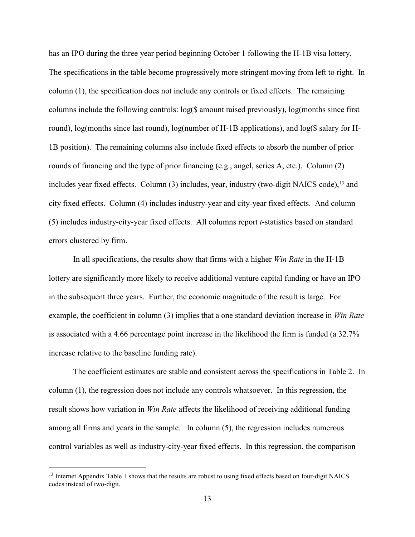has an IPO during the three year period beginning October 1 following the H-1B visa lottery. The specifications in the table become progressively more stringent moving from left to right. In column (1), the specification does not include any controls or fixed effects. The remaining columns include the following controls: log(\$ amount raised previously), log(months since first round), log(months since last round), log(number of H-1B applications), and log(\$ salary for H-1B position). The remaining columns also include fixed effects to absorb the number of prior rounds of financing and the type of prior financing (e.g., angel, series A, etc.). Column (2) includes year fixed effects. Column  $(3)$  includes, year, industry (two-digit NAICS code),  $^{13}$  $^{13}$  $^{13}$  and city fixed effects. Column (4) includes industry-year and city-year fixed effects. And column (5) includes industry-city-year fixed effects. All columns report *t*-statistics based on standard errors clustered by firm.

In all specifications, the results show that firms with a higher *Win Rate* in the H-1B lottery are significantly more likely to receive additional venture capital funding or have an IPO in the subsequent three years. Further, the economic magnitude of the result is large. For example, the coefficient in column (3) implies that a one standard deviation increase in *Win Rate* is associated with a 4.66 percentage point increase in the likelihood the firm is funded (a 32.7% increase relative to the baseline funding rate).

The coefficient estimates are stable and consistent across the specifications in Table 2. In column (1), the regression does not include any controls whatsoever. In this regression, the result shows how variation in *Win Rate* affects the likelihood of receiving additional funding among all firms and years in the sample. In column (5), the regression includes numerous control variables as well as industry-city-year fixed effects. In this regression, the comparison

 $\overline{a}$ 

<span id="page-13-0"></span><sup>&</sup>lt;sup>13</sup> Internet Appendix Table 1 shows that the results are robust to using fixed effects based on four-digit NAICS codes instead of two-digit.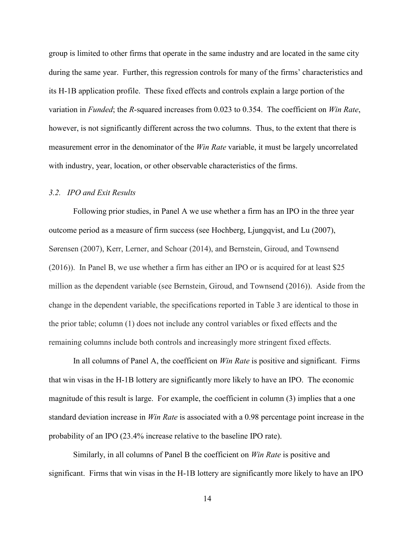group is limited to other firms that operate in the same industry and are located in the same city during the same year. Further, this regression controls for many of the firms' characteristics and its H-1B application profile. These fixed effects and controls explain a large portion of the variation in *Funded*; the *R*-squared increases from 0.023 to 0.354. The coefficient on *Win Rate*, however, is not significantly different across the two columns. Thus, to the extent that there is measurement error in the denominator of the *Win Rate* variable, it must be largely uncorrelated with industry, year, location, or other observable characteristics of the firms.

#### *3.2. IPO and Exit Results*

Following prior studies, in Panel A we use whether a firm has an IPO in the three year outcome period as a measure of firm success (see Hochberg, Ljungqvist, and Lu (2007), Sørensen (2007), Kerr, Lerner, and Schoar (2014), and Bernstein, Giroud, and Townsend (2016)). In Panel B, we use whether a firm has either an IPO or is acquired for at least \$25 million as the dependent variable (see Bernstein, Giroud, and Townsend (2016)). Aside from the change in the dependent variable, the specifications reported in Table 3 are identical to those in the prior table; column (1) does not include any control variables or fixed effects and the remaining columns include both controls and increasingly more stringent fixed effects.

In all columns of Panel A, the coefficient on *Win Rate* is positive and significant. Firms that win visas in the H-1B lottery are significantly more likely to have an IPO. The economic magnitude of this result is large. For example, the coefficient in column (3) implies that a one standard deviation increase in *Win Rate* is associated with a 0.98 percentage point increase in the probability of an IPO (23.4% increase relative to the baseline IPO rate).

Similarly, in all columns of Panel B the coefficient on *Win Rate* is positive and significant. Firms that win visas in the H-1B lottery are significantly more likely to have an IPO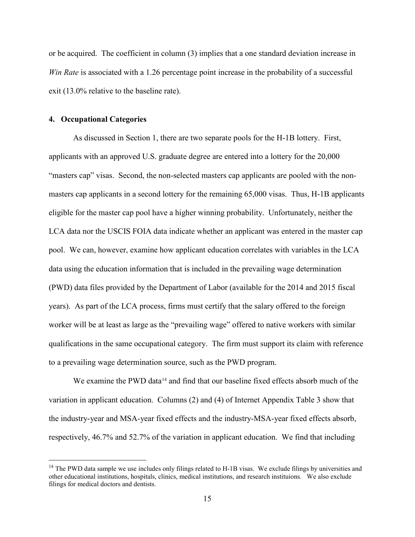or be acquired. The coefficient in column (3) implies that a one standard deviation increase in *Win Rate* is associated with a 1.26 percentage point increase in the probability of a successful exit (13.0% relative to the baseline rate).

### **4. Occupational Categories**

 $\overline{a}$ 

As discussed in Section 1, there are two separate pools for the H-1B lottery. First, applicants with an approved U.S. graduate degree are entered into a lottery for the 20,000 "masters cap" visas. Second, the non-selected masters cap applicants are pooled with the nonmasters cap applicants in a second lottery for the remaining 65,000 visas. Thus, H-1B applicants eligible for the master cap pool have a higher winning probability. Unfortunately, neither the LCA data nor the USCIS FOIA data indicate whether an applicant was entered in the master cap pool. We can, however, examine how applicant education correlates with variables in the LCA data using the education information that is included in the prevailing wage determination (PWD) data files provided by the Department of Labor (available for the 2014 and 2015 fiscal years). As part of the LCA process, firms must certify that the salary offered to the foreign worker will be at least as large as the "prevailing wage" offered to native workers with similar qualifications in the same occupational category. The firm must support its claim with reference to a prevailing wage determination source, such as the PWD program.

We examine the PWD data<sup>[14](#page-15-0)</sup> and find that our baseline fixed effects absorb much of the variation in applicant education. Columns (2) and (4) of Internet Appendix Table 3 show that the industry-year and MSA-year fixed effects and the industry-MSA-year fixed effects absorb, respectively, 46.7% and 52.7% of the variation in applicant education. We find that including

<span id="page-15-0"></span> $<sup>14</sup>$  The PWD data sample we use includes only filings related to H-1B visas. We exclude filings by universities and</sup> other educational institutions, hospitals, clinics, medical institutions, and research instituions. We also exclude filings for medical doctors and dentists.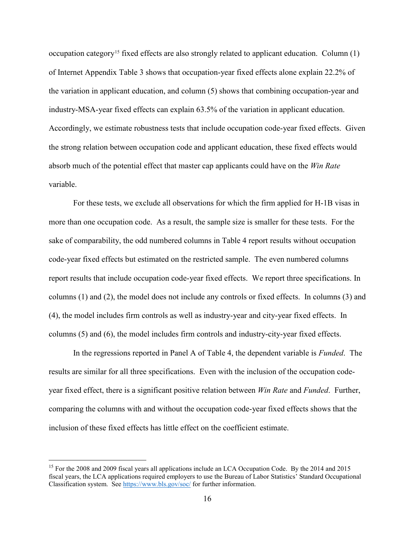occupation category<sup>15</sup> fixed effects are also strongly related to applicant education. Column  $(1)$ of Internet Appendix Table 3 shows that occupation-year fixed effects alone explain 22.2% of the variation in applicant education, and column (5) shows that combining occupation-year and industry-MSA-year fixed effects can explain 63.5% of the variation in applicant education. Accordingly, we estimate robustness tests that include occupation code-year fixed effects. Given the strong relation between occupation code and applicant education, these fixed effects would absorb much of the potential effect that master cap applicants could have on the *Win Rate* variable.

For these tests, we exclude all observations for which the firm applied for H-1B visas in more than one occupation code. As a result, the sample size is smaller for these tests. For the sake of comparability, the odd numbered columns in Table 4 report results without occupation code-year fixed effects but estimated on the restricted sample. The even numbered columns report results that include occupation code-year fixed effects. We report three specifications. In columns (1) and (2), the model does not include any controls or fixed effects. In columns (3) and (4), the model includes firm controls as well as industry-year and city-year fixed effects. In columns (5) and (6), the model includes firm controls and industry-city-year fixed effects.

In the regressions reported in Panel A of Table 4, the dependent variable is *Funded*. The results are similar for all three specifications. Even with the inclusion of the occupation codeyear fixed effect, there is a significant positive relation between *Win Rate* and *Funded*. Further, comparing the columns with and without the occupation code-year fixed effects shows that the inclusion of these fixed effects has little effect on the coefficient estimate.

 $\overline{a}$ 

<span id="page-16-0"></span><sup>&</sup>lt;sup>15</sup> For the 2008 and 2009 fiscal years all applications include an LCA Occupation Code. By the 2014 and 2015 fiscal years, the LCA applications required employers to use the Bureau of Labor Statistics' Standard Occupational Classification system. Se[e https://www.bls.gov/soc/](https://www.bls.gov/soc/) for further information.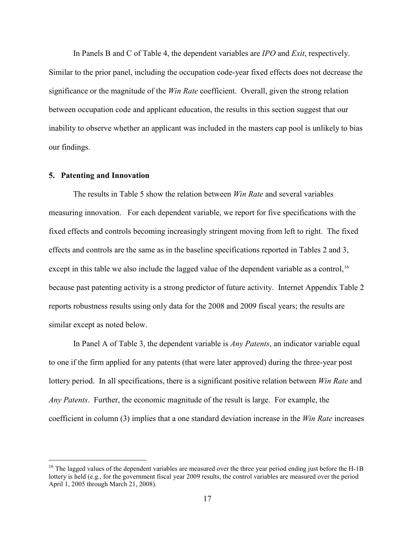In Panels B and C of Table 4, the dependent variables are *IPO* and *Exit*, respectively. Similar to the prior panel, including the occupation code-year fixed effects does not decrease the significance or the magnitude of the *Win Rate* coefficient. Overall, given the strong relation between occupation code and applicant education, the results in this section suggest that our inability to observe whether an applicant was included in the masters cap pool is unlikely to bias our findings.

#### **5. Patenting and Innovation**

 $\overline{a}$ 

The results in Table 5 show the relation between *Win Rate* and several variables measuring innovation. For each dependent variable, we report for five specifications with the fixed effects and controls becoming increasingly stringent moving from left to right. The fixed effects and controls are the same as in the baseline specifications reported in Tables 2 and 3, except in this table we also include the lagged value of the dependent variable as a control,<sup>[16](#page-17-0)</sup> because past patenting activity is a strong predictor of future activity. Internet Appendix Table 2 reports robustness results using only data for the 2008 and 2009 fiscal years; the results are similar except as noted below.

In Panel A of Table 3, the dependent variable is *Any Patents*, an indicator variable equal to one if the firm applied for any patents (that were later approved) during the three-year post lottery period. In all specifications, there is a significant positive relation between *Win Rate* and *Any Patents*. Further, the economic magnitude of the result is large. For example, the coefficient in column (3) implies that a one standard deviation increase in the *Win Rate* increases

<span id="page-17-0"></span> $^{16}$  The lagged values of the dependent variables are measured over the three year period ending just before the H-1B lottery is held (e.g., for the government fiscal year 2009 results, the control variables are measured over the period April 1, 2005 through March 21, 2008).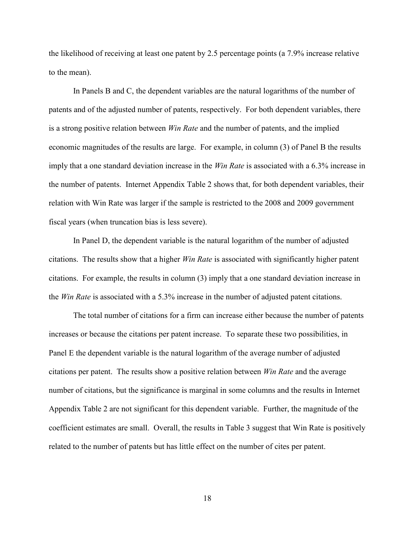the likelihood of receiving at least one patent by 2.5 percentage points (a 7.9% increase relative to the mean).

In Panels B and C, the dependent variables are the natural logarithms of the number of patents and of the adjusted number of patents, respectively. For both dependent variables, there is a strong positive relation between *Win Rate* and the number of patents, and the implied economic magnitudes of the results are large. For example, in column (3) of Panel B the results imply that a one standard deviation increase in the *Win Rate* is associated with a 6.3% increase in the number of patents. Internet Appendix Table 2 shows that, for both dependent variables, their relation with Win Rate was larger if the sample is restricted to the 2008 and 2009 government fiscal years (when truncation bias is less severe).

In Panel D, the dependent variable is the natural logarithm of the number of adjusted citations. The results show that a higher *Win Rate* is associated with significantly higher patent citations. For example, the results in column (3) imply that a one standard deviation increase in the *Win Rate* is associated with a 5.3% increase in the number of adjusted patent citations.

The total number of citations for a firm can increase either because the number of patents increases or because the citations per patent increase. To separate these two possibilities, in Panel E the dependent variable is the natural logarithm of the average number of adjusted citations per patent. The results show a positive relation between *Win Rate* and the average number of citations, but the significance is marginal in some columns and the results in Internet Appendix Table 2 are not significant for this dependent variable. Further, the magnitude of the coefficient estimates are small. Overall, the results in Table 3 suggest that Win Rate is positively related to the number of patents but has little effect on the number of cites per patent.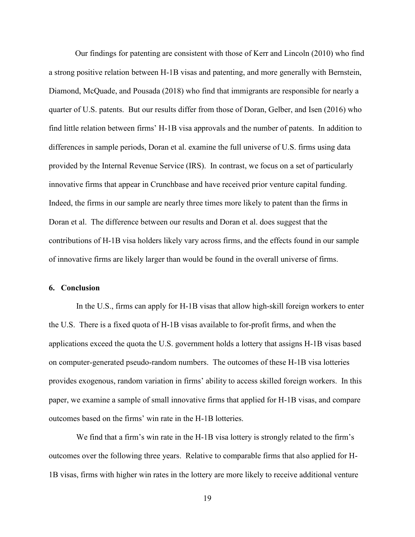Our findings for patenting are consistent with those of Kerr and Lincoln (2010) who find a strong positive relation between H-1B visas and patenting, and more generally with Bernstein, Diamond, McQuade, and Pousada (2018) who find that immigrants are responsible for nearly a quarter of U.S. patents. But our results differ from those of Doran, Gelber, and Isen (2016) who find little relation between firms' H-1B visa approvals and the number of patents. In addition to differences in sample periods, Doran et al. examine the full universe of U.S. firms using data provided by the Internal Revenue Service (IRS). In contrast, we focus on a set of particularly innovative firms that appear in Crunchbase and have received prior venture capital funding. Indeed, the firms in our sample are nearly three times more likely to patent than the firms in Doran et al. The difference between our results and Doran et al. does suggest that the contributions of H-1B visa holders likely vary across firms, and the effects found in our sample of innovative firms are likely larger than would be found in the overall universe of firms.

#### **6. Conclusion**

In the U.S., firms can apply for H-1B visas that allow high-skill foreign workers to enter the U.S. There is a fixed quota of H-1B visas available to for-profit firms, and when the applications exceed the quota the U.S. government holds a lottery that assigns H-1B visas based on computer-generated pseudo-random numbers. The outcomes of these H-1B visa lotteries provides exogenous, random variation in firms' ability to access skilled foreign workers. In this paper, we examine a sample of small innovative firms that applied for H-1B visas, and compare outcomes based on the firms' win rate in the H-1B lotteries.

We find that a firm's win rate in the H-1B visa lottery is strongly related to the firm's outcomes over the following three years. Relative to comparable firms that also applied for H-1B visas, firms with higher win rates in the lottery are more likely to receive additional venture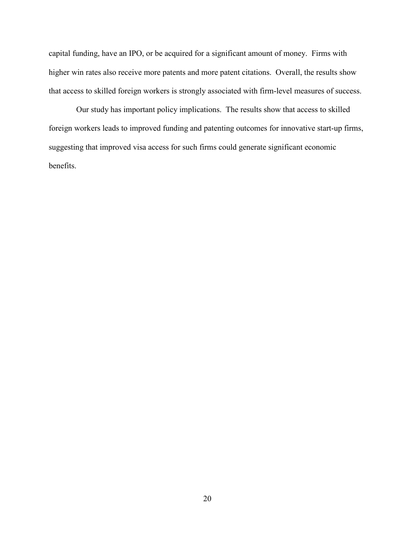capital funding, have an IPO, or be acquired for a significant amount of money. Firms with higher win rates also receive more patents and more patent citations. Overall, the results show that access to skilled foreign workers is strongly associated with firm-level measures of success.

Our study has important policy implications. The results show that access to skilled foreign workers leads to improved funding and patenting outcomes for innovative start-up firms, suggesting that improved visa access for such firms could generate significant economic benefits.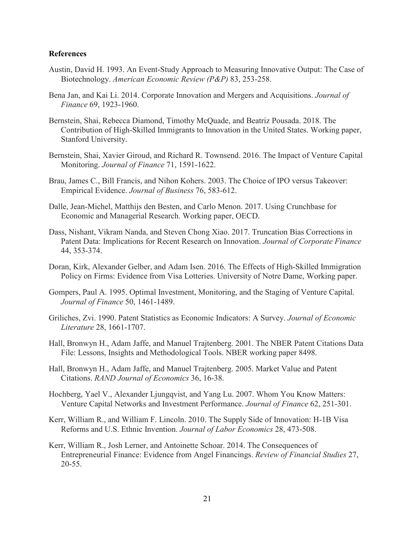### **References**

- Austin, David H. 1993. An Event-Study Approach to Measuring Innovative Output: The Case of Biotechnology. *American Economic Review (P&P)* 83, 253-258.
- Bena Jan, and Kai Li. 2014. Corporate Innovation and Mergers and Acquisitions. *Journal of Finance* 69, 1923-1960.
- Bernstein, Shai, Rebecca Diamond, Timothy McQuade, and Beatriz Pousada. 2018. The Contribution of High-Skilled Immigrants to Innovation in the United States. Working paper, Stanford University.
- Bernstein, Shai, Xavier Giroud, and Richard R. Townsend. 2016. The Impact of Venture Capital Monitoring. *Journal of Finance* 71, 1591-1622.
- Brau, James C., Bill Francis, and Nihon Kohers. 2003. The Choice of IPO versus Takeover: Empirical Evidence. *Journal of Business* 76, 583-612.
- Dalle, Jean-Michel, Matthijs den Besten, and Carlo Menon. 2017. Using Crunchbase for Economic and Managerial Research. Working paper, OECD.
- Dass, Nishant, Vikram Nanda, and Steven Chong Xiao. 2017. Truncation Bias Corrections in Patent Data: Implications for Recent Research on Innovation. *Journal of Corporate Finance* 44, 353-374.
- Doran, Kirk, Alexander Gelber, and Adam Isen. 2016. The Effects of High-Skilled Immigration Policy on Firms: Evidence from Visa Lotteries. University of Notre Dame, Working paper.
- Gompers, Paul A. 1995. Optimal Investment, Monitoring, and the Staging of Venture Capital. *Journal of Finance* 50, 1461-1489.
- Griliches, Zvi. 1990. Patent Statistics as Economic Indicators: A Survey. *Journal of Economic Literature* 28, 1661-1707.
- Hall, Bronwyn H., Adam Jaffe, and Manuel Trajtenberg. 2001. The NBER Patent Citations Data File: Lessons, Insights and Methodological Tools. NBER working paper 8498.
- Hall, Bronwyn H., Adam Jaffe, and Manuel Trajtenberg. 2005. Market Value and Patent Citations. *RAND Journal of Economics* 36, 16-38.
- Hochberg, Yael V., Alexander Ljungqvist, and Yang Lu. 2007. Whom You Know Matters: Venture Capital Networks and Investment Performance. *Journal of Finance* 62, 251-301.
- Kerr, William R., and William F. Lincoln. 2010. The Supply Side of Innovation: H-1B Visa Reforms and U.S. Ethnic Invention. *Journal of Labor Economics* 28, 473-508.
- Kerr, William R., Josh Lerner, and Antoinette Schoar. 2014. The Consequences of Entrepreneurial Finance: Evidence from Angel Financings. *Review of Financial Studies* 27, 20-55.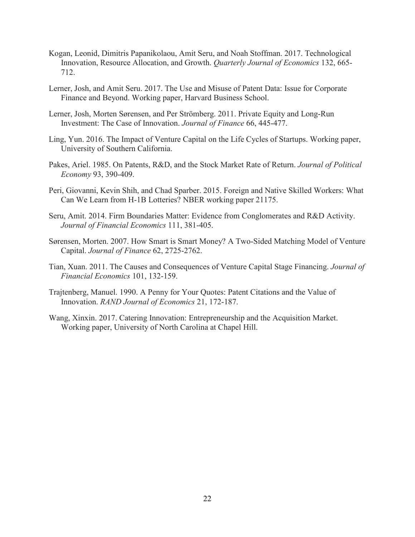- Kogan, Leonid, Dimitris Papanikolaou, Amit Seru, and Noah Stoffman. 2017. Technological Innovation, Resource Allocation, and Growth. *Quarterly Journal of Economics* 132, 665- 712.
- Lerner, Josh, and Amit Seru. 2017. The Use and Misuse of Patent Data: Issue for Corporate Finance and Beyond. Working paper, Harvard Business School.
- Lerner, Josh, Morten Sørensen, and Per Strömberg. 2011. Private Equity and Long-Run Investment: The Case of Innovation. *Journal of Finance* 66, 445-477.
- Ling, Yun. 2016. The Impact of Venture Capital on the Life Cycles of Startups. Working paper, University of Southern California.
- Pakes, Ariel. 1985. On Patents, R&D, and the Stock Market Rate of Return. *Journal of Political Economy* 93, 390-409.
- Peri, Giovanni, Kevin Shih, and Chad Sparber. 2015. Foreign and Native Skilled Workers: What Can We Learn from H-1B Lotteries? NBER working paper 21175.
- Seru, Amit. 2014. Firm Boundaries Matter: Evidence from Conglomerates and R&D Activity. *Journal of Financial Economics* 111, 381-405.
- Sørensen, Morten. 2007. How Smart is Smart Money? A Two-Sided Matching Model of Venture Capital. *Journal of Finance* 62, 2725-2762.
- Tian, Xuan. 2011. The Causes and Consequences of Venture Capital Stage Financing. *Journal of Financial Economics* 101, 132-159.
- Trajtenberg, Manuel. 1990. A Penny for Your Quotes: Patent Citations and the Value of Innovation. *RAND Journal of Economics* 21, 172-187.
- Wang, Xinxin. 2017. Catering Innovation: Entrepreneurship and the Acquisition Market. Working paper, University of North Carolina at Chapel Hill.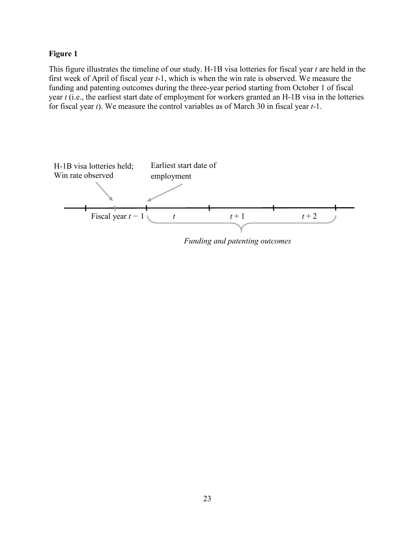### **Figure 1**

This figure illustrates the timeline of our study. H-1B visa lotteries for fiscal year *t* are held in the first week of April of fiscal year *t*-1, which is when the win rate is observed. We measure the funding and patenting outcomes during the three-year period starting from October 1 of fiscal year *t* (i.e., the earliest start date of employment for workers granted an H-1B visa in the lotteries for fiscal year *t*). We measure the control variables as of March 30 in fiscal year *t*-1.



*Funding and patenting outcomes*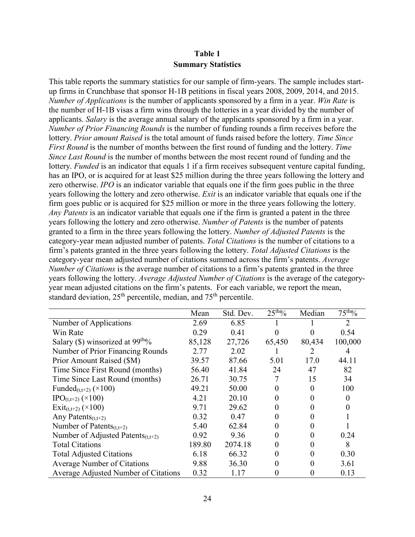### **Table 1 Summary Statistics**

This table reports the summary statistics for our sample of firm-years. The sample includes startup firms in Crunchbase that sponsor H-1B petitions in fiscal years 2008, 2009, 2014, and 2015. *Number of Applications* is the number of applicants sponsored by a firm in a year. *Win Rate* is the number of H-1B visas a firm wins through the lotteries in a year divided by the number of applicants. *Salary* is the average annual salary of the applicants sponsored by a firm in a year. *Number of Prior Financing Rounds* is the number of funding rounds a firm receives before the lottery. *Prior amount Raised* is the total amount of funds raised before the lottery. *Time Since First Round* is the number of months between the first round of funding and the lottery. *Time Since Last Round* is the number of months between the most recent round of funding and the lottery. *Funded* is an indicator that equals 1 if a firm receives subsequent venture capital funding, has an IPO, or is acquired for at least \$25 million during the three years following the lottery and zero otherwise. *IPO* is an indicator variable that equals one if the firm goes public in the three years following the lottery and zero otherwise. *Exit* is an indicator variable that equals one if the firm goes public or is acquired for \$25 million or more in the three years following the lottery. *Any Patents* is an indicator variable that equals one if the firm is granted a patent in the three years following the lottery and zero otherwise. *Number of Patents* is the number of patents granted to a firm in the three years following the lottery. *Number of Adjusted Patents* is the category-year mean adjusted number of patents. *Total Citations* is the number of citations to a firm's patents granted in the three years following the lottery. *Total Adjusted Citations* is the category-year mean adjusted number of citations summed across the firm's patents. *Average Number of Citations* is the average number of citations to a firm's patents granted in the three years following the lottery. *Average Adjusted Number of Citations* is the average of the categoryyear mean adjusted citations on the firm's patents. For each variable, we report the mean, standard deviation,  $25<sup>th</sup>$  percentile, median, and  $75<sup>th</sup>$  percentile.

|                                          | Mean   | Std. Dev. | 25 <sup>tho</sup> / <sub>0</sub> | Median | $75th$ %       |
|------------------------------------------|--------|-----------|----------------------------------|--------|----------------|
| Number of Applications                   | 2.69   | 6.85      |                                  |        | $\overline{2}$ |
| Win Rate                                 | 0.29   | 0.41      | 0                                |        | 0.54           |
| Salary (\$) winsorized at $99tho/o$      | 85,128 | 27,726    | 65,450                           | 80,434 | 100,000        |
| Number of Prior Financing Rounds         | 2.77   | 2.02      |                                  |        | 4              |
| Prior Amount Raised (\$M)                | 39.57  | 87.66     | 5.01                             | 17.0   | 44.11          |
| Time Since First Round (months)          | 56.40  | 41.84     | 24                               | 47     | 82             |
| Time Since Last Round (months)           | 26.71  | 30.75     |                                  | 15     | 34             |
| Funded <sub>(t,t+2)</sub> $(\times 100)$ | 49.21  | 50.00     |                                  | 0      | 100            |
| $IPO_{(t,t+2)} (\times 100)$             | 4.21   | 20.10     |                                  |        |                |
| Exit <sub>(t,t+2)</sub> ( $\times$ 100)  | 9.71   | 29.62     |                                  |        |                |
| Any Patents $(t,t+2)$                    | 0.32   | 0.47      |                                  | 0      |                |
| Number of Patents $(t,t+2)$              | 5.40   | 62.84     |                                  | 0      |                |
| Number of Adjusted Patents $(t,t+2)$     | 0.92   | 9.36      | 0                                | 0      | 0.24           |
| <b>Total Citations</b>                   | 189.80 | 2074.18   |                                  |        | 8              |
| <b>Total Adjusted Citations</b>          | 6.18   | 66.32     |                                  | 0      | 0.30           |
| <b>Average Number of Citations</b>       | 9.88   | 36.30     |                                  |        | 3.61           |
| Average Adjusted Number of Citations     | 0.32   | 1.17      |                                  |        | 0.13           |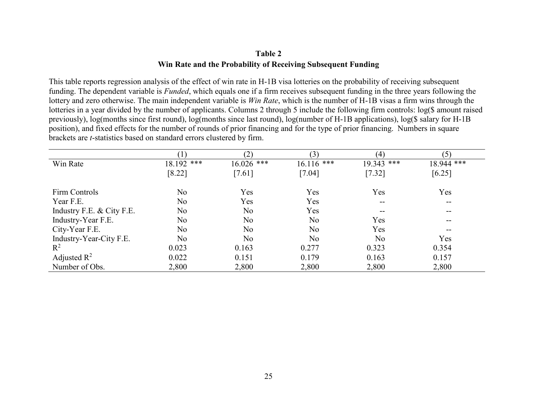### **Table 2 Win Rate and the Probability of Receiving Subsequent Funding**

This table reports regression analysis of the effect of win rate in H-1B visa lotteries on the probability of receiving subsequent funding. The dependent variable is *Funded*, which equals one if a firm receives subsequent funding in the three years following the lottery and zero otherwise. The main independent variable is *Win Rate*, which is the number of H-1B visas a firm wins through the lotteries in a year divided by the number of applicants. Columns 2 through 5 include the following firm controls: log(\$ amount raised previously), log(months since first round), log(months since last round), log(number of H-1B applications), log(\$ salary for H-1B position), and fixed effects for the number of rounds of prior financing and for the type of prior financing. Numbers in square brackets are *t*-statistics based on standard errors clustered by firm.

|                           |                | (2)          | (3)          | (4)          | (5)                      |
|---------------------------|----------------|--------------|--------------|--------------|--------------------------|
| Win Rate                  | 18.192 ***     | $16.026$ *** | $16.116$ *** | $19.343$ *** | 18.944 ***               |
|                           | [8.22]         | [7.61]       | [7.04]       | $[7.32]$     | $[6.25]$                 |
| Firm Controls             | No             | Yes          | Yes          | Yes          | Yes                      |
| Year F.E.                 | No             | Yes          | Yes          | $- -$        | $\overline{\phantom{m}}$ |
| Industry F.E. & City F.E. | No             | No           | Yes          |              | --                       |
| Industry-Year F.E.        | No             | No           | No           | Yes          | --                       |
| City-Year F.E.            | No             | No           | No           | Yes          | --                       |
| Industry-Year-City F.E.   | N <sub>o</sub> | No           | No           | No           | Yes                      |
| $R^2$                     | 0.023          | 0.163        | 0.277        | 0.323        | 0.354                    |
| Adjusted $\mathbb{R}^2$   | 0.022          | 0.151        | 0.179        | 0.163        | 0.157                    |
| Number of Obs.            | 2,800          | 2,800        | 2,800        | 2,800        | 2,800                    |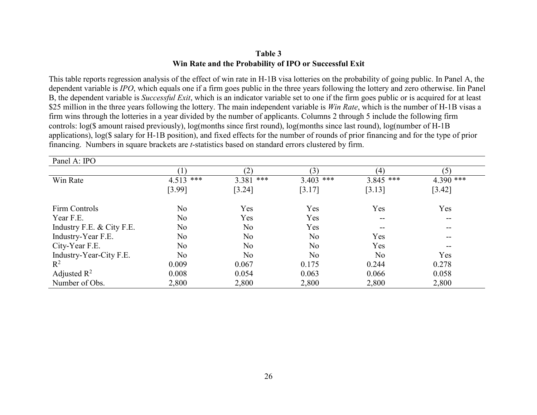### **Table 3 Win Rate and the Probability of IPO or Successful Exit**

This table reports regression analysis of the effect of win rate in H-1B visa lotteries on the probability of going public. In Panel A, the dependent variable is *IPO*, which equals one if a firm goes public in the three years following the lottery and zero otherwise. Iin Panel B, the dependent variable is *Successful Exit*, which is an indicator variable set to one if the firm goes public or is acquired for at least \$25 million in the three years following the lottery. The main independent variable is *Win Rate*, which is the number of H-1B visas a firm wins through the lotteries in a year divided by the number of applicants. Columns 2 through 5 include the following firm controls: log(\$ amount raised previously), log(months since first round), log(months since last round), log(number of H-1B applications), log(\$ salary for H-1B position), and fixed effects for the number of rounds of prior financing and for the type of prior financing. Numbers in square brackets are *t*-statistics based on standard errors clustered by firm.

| Panel A: IPO              |                |              |              |                |             |
|---------------------------|----------------|--------------|--------------|----------------|-------------|
|                           |                | (2)          | (3)          | (4)            | (5)         |
| Win Rate                  | $4.513$ ***    | 3.381<br>*** | 3.403<br>*** | $3.845$ ***    | $4.390$ *** |
|                           | [3.99]         | [3.24]       | [3.17]       | [3.13]         | [3.42]      |
| Firm Controls             | N <sub>o</sub> | Yes          | Yes          | Yes            | Yes         |
| Year F.E.                 | N <sub>o</sub> | Yes          | Yes          | $- -$          | --          |
| Industry F.E. & City F.E. | No             | No           | Yes          | $- -$          | --          |
| Industry-Year F.E.        | N <sub>o</sub> | No           | No           | Yes            | $- -$       |
| City-Year F.E.            | No             | No           | No           | Yes            | --          |
| Industry-Year-City F.E.   | N <sub>o</sub> | No           | No           | N <sub>o</sub> | Yes         |
| $R^2$                     | 0.009          | 0.067        | 0.175        | 0.244          | 0.278       |
| Adjusted $\mathbb{R}^2$   | 0.008          | 0.054        | 0.063        | 0.066          | 0.058       |
| Number of Obs.            | 2,800          | 2,800        | 2,800        | 2,800          | 2,800       |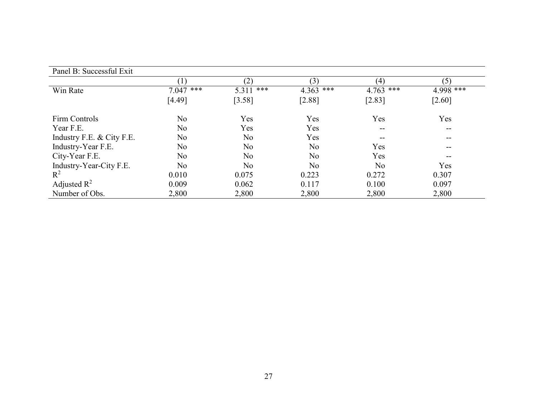| Panel B: Successful Exit  |                |              |             |                |           |
|---------------------------|----------------|--------------|-------------|----------------|-----------|
|                           |                | (2)          | (3)         | (4)            | (5)       |
| Win Rate                  | $7.047$ ***    | ***<br>5.311 | $4.363$ *** | $4.763$ ***    | 4.998 *** |
|                           | [4.49]         | [3.58]       | [2.88]      | $[2.83]$       | $[2.60]$  |
| Firm Controls             | No             | Yes          | Yes         | Yes            | Yes       |
| Year F.E.                 | N <sub>o</sub> | Yes          | Yes         | $- -$          | --        |
| Industry F.E. & City F.E. | No             | No           | Yes         |                | --        |
| Industry-Year F.E.        | No             | No           | No          | Yes            | --        |
| City-Year F.E.            | No             | No           | No          | Yes            | --        |
| Industry-Year-City F.E.   | No             | No           | No          | N <sub>o</sub> | Yes       |
| $R^2$                     | 0.010          | 0.075        | 0.223       | 0.272          | 0.307     |
| Adjusted $R^2$            | 0.009          | 0.062        | 0.117       | 0.100          | 0.097     |
| Number of Obs.            | 2,800          | 2,800        | 2,800       | 2,800          | 2,800     |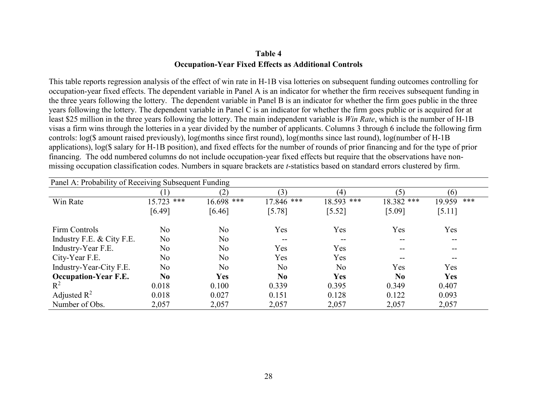## **Table 4 Occupation-Year Fixed Effects as Additional Controls**

This table reports regression analysis of the effect of win rate in H-1B visa lotteries on subsequent funding outcomes controlling for occupation-year fixed effects. The dependent variable in Panel A is an indicator for whether the firm receives subsequent funding in the three years following the lottery. The dependent variable in Panel B is an indicator for whether the firm goes public in the three years following the lottery. The dependent variable in Panel C is an indicator for whether the firm goes public or is acquired for at least \$25 million in the three years following the lottery. The main independent variable is *Win Rate*, which is the number of H-1B visas a firm wins through the lotteries in a year divided by the number of applicants. Columns 3 through 6 include the following firm controls: log(\$ amount raised previously), log(months since first round), log(months since last round), log(number of H-1B applications), log(\$ salary for H-1B position), and fixed effects for the number of rounds of prior financing and for the type of prior financing. The odd numbered columns do not include occupation-year fixed effects but require that the observations have nonmissing occupation classification codes. Numbers in square brackets are *t*-statistics based on standard errors clustered by firm.

| Panel A: Probability of Receiving Subsequent Funding |                |            |                |            |            |               |  |
|------------------------------------------------------|----------------|------------|----------------|------------|------------|---------------|--|
|                                                      |                | (2)        | (3)            | (4)        | (5)        | (6)           |  |
| Win Rate                                             | $15.723$ ***   | 16.698 *** | $17.846$ ***   | 18.593 *** | 18.382 *** | ***<br>19.959 |  |
|                                                      | [6.49]         | [6.46]     | $[5.78]$       | $[5.52]$   | [5.09]     | [5.11]        |  |
| Firm Controls                                        | No             | No.        | Yes            | Yes        | Yes        | Yes           |  |
| Industry F.E. & City F.E.                            | No             | No.        | $- -$          | --         | --         | $- -$         |  |
| Industry-Year F.E.                                   | No             | No.        | Yes            | Yes        | --         | --            |  |
| City-Year F.E.                                       | No             | No         | Yes            | Yes        | --         | --            |  |
| Industry-Year-City F.E.                              | No             | No.        | No             | No         | Yes        | Yes           |  |
| <b>Occupation-Year F.E.</b>                          | N <sub>0</sub> | <b>Yes</b> | N <sub>0</sub> | <b>Yes</b> | $\bf No$   | <b>Yes</b>    |  |
| $R^2$                                                | 0.018          | 0.100      | 0.339          | 0.395      | 0.349      | 0.407         |  |
| Adjusted $\mathbb{R}^2$                              | 0.018          | 0.027      | 0.151          | 0.128      | 0.122      | 0.093         |  |
| Number of Obs.                                       | 2,057          | 2,057      | 2,057          | 2,057      | 2,057      | 2,057         |  |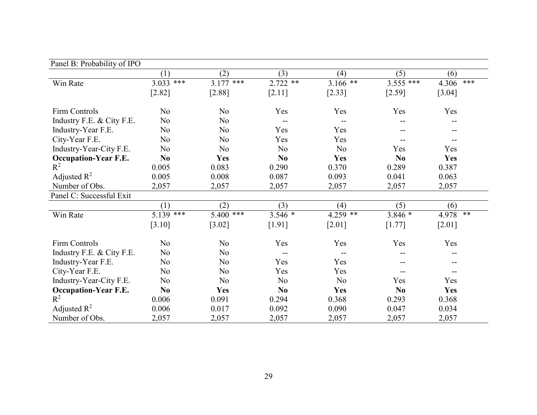| Panel B: Probability of IPO |                |                |                |                |                |               |
|-----------------------------|----------------|----------------|----------------|----------------|----------------|---------------|
|                             | (1)            | (2)            | (3)            | (4)            | (5)            | (6)           |
| Win Rate                    | $3.033$ ***    | 3.177<br>***   | $2.722$ **     | $3.166$ **     | $3.555$ ***    | ***<br>4.306  |
|                             | [2.82]         | [2.88]         | [2.11]         | [2.33]         | [2.59]         | [3.04]        |
| Firm Controls               | No             | No             | Yes            | Yes            | Yes            | Yes           |
| Industry F.E. & City F.E.   | N <sub>o</sub> | N <sub>o</sub> | $- -$          |                |                |               |
| Industry-Year F.E.          | N <sub>o</sub> | No             | Yes            | Yes            | --             |               |
| City-Year F.E.              | No             | No             | Yes            | Yes            |                |               |
| Industry-Year-City F.E.     | N <sub>o</sub> | No             | N <sub>o</sub> | N <sub>o</sub> | Yes            | Yes           |
| <b>Occupation-Year F.E.</b> | N <sub>0</sub> | Yes            | N <sub>0</sub> | Yes            | N <sub>0</sub> | Yes           |
| $R^2$                       | 0.005          | 0.083          | 0.290          | 0.370          | 0.289          | 0.387         |
| Adjusted $R^2$              | 0.005          | 0.008          | 0.087          | 0.093          | 0.041          | 0.063         |
| Number of Obs.              | 2,057          | 2,057          | 2,057          | 2,057          | 2,057          | 2,057         |
| Panel C: Successful Exit    |                |                |                |                |                |               |
|                             | (1)            | (2)            | (3)            | (4)            | (5)            | (6)           |
| Win Rate                    | $5.139$ ***    | ***<br>5.400   | $3.546*$       | $4.259$ **     | $3.846*$       | $**$<br>4.978 |
|                             | [3.10]         | [3.02]         | [1.91]         | $[2.01]$       | $[1.77]$       | $[2.01]$      |
| Firm Controls               | N <sub>o</sub> | No             | Yes            | Yes            | Yes            | Yes           |
| Industry F.E. & City F.E.   | N <sub>o</sub> | No             |                |                |                |               |
| Industry-Year F.E.          | N <sub>o</sub> | No             | Yes            | Yes            | --             |               |
| City-Year F.E.              | No             | No             | Yes            | Yes            | --             | --            |
| Industry-Year-City F.E.     | N <sub>o</sub> | No             | No             | No             | Yes            | Yes           |
| <b>Occupation-Year F.E.</b> | N <sub>0</sub> | Yes            | N <sub>0</sub> | Yes            | N <sub>0</sub> | Yes           |
| $R^2$                       | 0.006          | 0.091          | 0.294          | 0.368          | 0.293          | 0.368         |
| Adjusted $R^2$              | 0.006          | 0.017          | 0.092          | 0.090          | 0.047          | 0.034         |
| Number of Obs.              | 2,057          | 2,057          | 2,057          | 2,057          | 2,057          | 2,057         |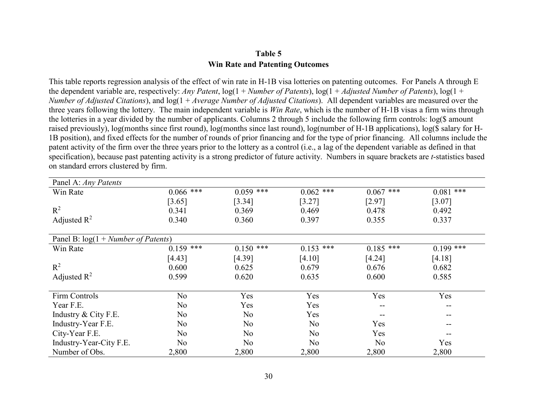### **Table 5 Win Rate and Patenting Outcomes**

This table reports regression analysis of the effect of win rate in H-1B visa lotteries on patenting outcomes. For Panels A through E the dependent variable are, respectively: *Any Patent*, log(1 + *Number of Patents*), log(1 + *Adjusted Number of Patents*), log(1 + *Number of Adjusted Citations*), and log(1 + *Average Number of Adjusted Citations*). All dependent variables are measured over the three years following the lottery. The main independent variable is *Win Rate*, which is the number of H-1B visas a firm wins through the lotteries in a year divided by the number of applicants. Columns 2 through 5 include the following firm controls: log(\$ amount raised previously), log(months since first round), log(months since last round), log(number of H-1B applications), log(\$ salary for H-1B position), and fixed effects for the number of rounds of prior financing and for the type of prior financing. All columns include the patent activity of the firm over the three years prior to the lottery as a control (i.e., a lag of the dependent variable as defined in that specification), because past patenting activity is a strong predictor of future activity. Numbers in square brackets are *t*-statistics based on standard errors clustered by firm.

| Panel A: Any Patents                   |                |                |             |                |             |
|----------------------------------------|----------------|----------------|-------------|----------------|-------------|
| Win Rate                               | $0.066$ ***    | $0.059$ ***    | $0.062$ *** | $0.067$ ***    | $0.081$ *** |
|                                        | [3.65]         | [3.34]         | [3.27]      | [2.97]         | [3.07]      |
| $R^2$                                  | 0.341          | 0.369          | 0.469       | 0.478          | 0.492       |
| Adjusted $\mathbb{R}^2$                | 0.340          | 0.360          | 0.397       | 0.355          | 0.337       |
|                                        |                |                |             |                |             |
| Panel B: $log(1 + Number of Patterns)$ |                |                |             |                |             |
| Win Rate                               | $0.159$ ***    | ***<br>0.150   | $0.153$ *** | $0.185$ ***    | $0.199$ *** |
|                                        | [4.43]         | [4.39]         | [4.10]      | [4.24]         | [4.18]      |
| $R^2$                                  | 0.600          | 0.625          | 0.679       | 0.676          | 0.682       |
| Adjusted $R^2$                         | 0.599          | 0.620          | 0.635       | 0.600          | 0.585       |
|                                        |                |                |             |                |             |
| Firm Controls                          | N <sub>o</sub> | Yes            | Yes         | Yes            | Yes         |
| Year F.E.                              | N <sub>o</sub> | Yes            | Yes         | --             | --          |
| Industry & City F.E.                   | No             | N <sub>o</sub> | Yes         |                | --          |
| Industry-Year F.E.                     | No             | No             | No          | Yes            |             |
| City-Year F.E.                         | N <sub>o</sub> | No             | No          | Yes            |             |
| Industry-Year-City F.E.                | No             | No             | No.         | N <sub>o</sub> | Yes         |
| Number of Obs.                         | 2,800          | 2,800          | 2,800       | 2,800          | 2,800       |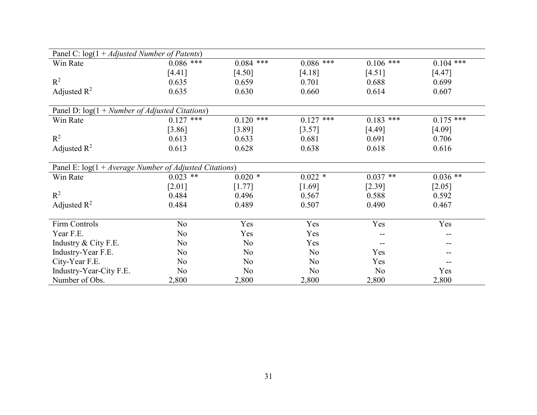| Panel C: $log(1 + Adjusted Number of Patterns)$          |             |             |                |             |             |
|----------------------------------------------------------|-------------|-------------|----------------|-------------|-------------|
| Win Rate                                                 | $0.086$ *** | $0.084$ *** | $0.086$ ***    | $0.106$ *** | $0.104$ *** |
|                                                          | [4.41]      | [4.50]      | [4.18]         | [4.51]      | [4.47]      |
| $R^2$                                                    | 0.635       | 0.659       | 0.701          | 0.688       | 0.699       |
| Adjusted $R^2$                                           | 0.635       | 0.630       | 0.660          | 0.614       | 0.607       |
| Panel D: $log(1 + Number of Adjusted Citations)$         |             |             |                |             |             |
| Win Rate                                                 | $0.127$ *** | $0.120$ *** | 0.127<br>***   | $0.183$ *** | $0.175$ *** |
|                                                          | [3.86]      | [3.89]      | [3.57]         | [4.49]      | [4.09]      |
| $R^2$                                                    | 0.613       | 0.633       | 0.681          | 0.691       | 0.706       |
| Adjusted $R^2$                                           | 0.613       | 0.628       | 0.638          | 0.618       | 0.616       |
|                                                          |             |             |                |             |             |
| Panel E: $log(1 + Average Number of Adjusted Citations)$ |             |             |                |             |             |
| Win Rate                                                 | $0.023$ **  | $0.020*$    | $0.022$ *      | $0.037$ **  | $0.036**$   |
|                                                          | $[2.01]$    | [1.77]      | [1.69]         | [2.39]      | $[2.05]$    |
| $R^2$                                                    | 0.484       | 0.496       | 0.567          | 0.588       | 0.592       |
| Adjusted $R^2$                                           | 0.484       | 0.489       | 0.507          | 0.490       | 0.467       |
|                                                          |             |             |                |             |             |
| Firm Controls                                            | No          | Yes         | Yes            | Yes         | Yes         |
| Year F.E.                                                | No          | Yes         | Yes            |             |             |
| Industry & City F.E.                                     | No          | No          | Yes            |             |             |
| Industry-Year F.E.                                       | No          | No          | N <sub>o</sub> | Yes         |             |
| City-Year F.E.                                           | No          | No          | No             | Yes         | --          |
| Industry-Year-City F.E.                                  | No          | No          | N <sub>o</sub> | No          | Yes         |
| Number of Obs.                                           | 2,800       | 2,800       | 2,800          | 2,800       | 2,800       |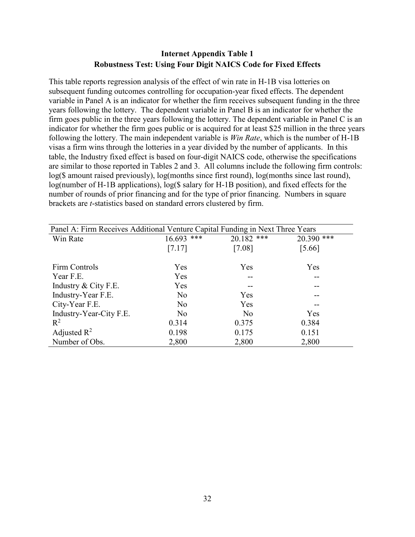# **Internet Appendix Table 1 Robustness Test: Using Four Digit NAICS Code for Fixed Effects**

This table reports regression analysis of the effect of win rate in H-1B visa lotteries on subsequent funding outcomes controlling for occupation-year fixed effects. The dependent variable in Panel A is an indicator for whether the firm receives subsequent funding in the three years following the lottery. The dependent variable in Panel B is an indicator for whether the firm goes public in the three years following the lottery. The dependent variable in Panel C is an indicator for whether the firm goes public or is acquired for at least \$25 million in the three years following the lottery. The main independent variable is *Win Rate*, which is the number of H-1B visas a firm wins through the lotteries in a year divided by the number of applicants. In this table, the Industry fixed effect is based on four-digit NAICS code, otherwise the specifications are similar to those reported in Tables 2 and 3. All columns include the following firm controls: log(\$ amount raised previously), log(months since first round), log(months since last round), log(number of H-1B applications), log(\$ salary for H-1B position), and fixed effects for the number of rounds of prior financing and for the type of prior financing. Numbers in square brackets are *t*-statistics based on standard errors clustered by firm.

| Panel A: Firm Receives Additional Venture Capital Funding in Next Three Years |                |                |            |
|-------------------------------------------------------------------------------|----------------|----------------|------------|
| Win Rate                                                                      | ***<br>16.693  | ***<br>20.182  | 20.390 *** |
|                                                                               | [7.17]         | $[7.08]$       | [5.66]     |
| Firm Controls                                                                 | Yes            | Yes            | Yes        |
| Year F.E.                                                                     | Yes            | --             |            |
| Industry & City F.E.                                                          | Yes            | --             |            |
| Industry-Year F.E.                                                            | N <sub>o</sub> | Yes            |            |
| City-Year F.E.                                                                | No             | Yes            | --         |
| Industry-Year-City F.E.                                                       | No             | N <sub>o</sub> | Yes        |
| $R^2$                                                                         | 0.314          | 0.375          | 0.384      |
| Adjusted $R^2$                                                                | 0.198          | 0.175          | 0.151      |
| Number of Obs.                                                                | 2,800          | 2,800          | 2,800      |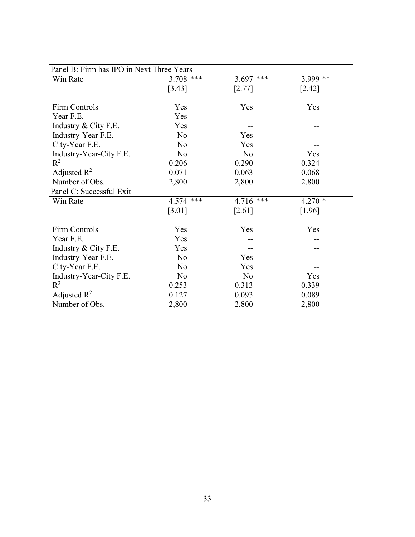| Panel B: Firm has IPO in Next Three Years |                |                |          |  |  |  |  |
|-------------------------------------------|----------------|----------------|----------|--|--|--|--|
| Win Rate                                  | $3.708$ ***    | $***$<br>3.697 | 3.999 ** |  |  |  |  |
|                                           | [3.43]         | [2.77]         | $[2.42]$ |  |  |  |  |
|                                           |                |                |          |  |  |  |  |
| Firm Controls                             | Yes            | Yes            | Yes      |  |  |  |  |
| Year F.E.                                 | Yes            |                |          |  |  |  |  |
| Industry & City F.E.                      | Yes            |                |          |  |  |  |  |
| Industry-Year F.E.                        | N <sub>o</sub> | Yes            |          |  |  |  |  |
| City-Year F.E.                            | No             | Yes            |          |  |  |  |  |
| Industry-Year-City F.E.                   | N <sub>o</sub> | N <sub>o</sub> | Yes      |  |  |  |  |
| $R^2$                                     | 0.206          | 0.290          | 0.324    |  |  |  |  |
| Adjusted $R^2$                            | 0.071          | 0.063          | 0.068    |  |  |  |  |
| Number of Obs.                            | 2,800          | 2,800          | 2,800    |  |  |  |  |
| Panel C: Successful Exit                  |                |                |          |  |  |  |  |
| Win Rate                                  | $***$<br>4.574 | ***<br>4.716   | $4.270*$ |  |  |  |  |
|                                           | $[3.01]$       | [2.61]         | [1.96]   |  |  |  |  |
| <b>Firm Controls</b>                      | Yes            | Yes            | Yes      |  |  |  |  |
| Year F.E.                                 | Yes            |                |          |  |  |  |  |
| Industry & City F.E.                      | Yes            |                |          |  |  |  |  |
| Industry-Year F.E.                        | No             | Yes            |          |  |  |  |  |
| City-Year F.E.                            | N <sub>o</sub> | Yes            |          |  |  |  |  |
| Industry-Year-City F.E.                   | N <sub>o</sub> | N <sub>o</sub> | Yes      |  |  |  |  |
| $\mathbb{R}^2$                            | 0.253          | 0.313          | 0.339    |  |  |  |  |
| Adjusted $\mathbb{R}^2$                   | 0.127          | 0.093          | 0.089    |  |  |  |  |
| Number of Obs.                            | 2,800          | 2,800          | 2,800    |  |  |  |  |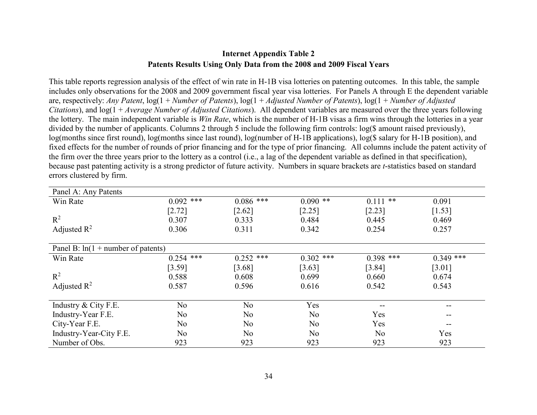### **Internet Appendix Table 2 Patents Results Using Only Data from the 2008 and 2009 Fiscal Years**

This table reports regression analysis of the effect of win rate in H-1B visa lotteries on patenting outcomes. In this table, the sample includes only observations for the 2008 and 2009 government fiscal year visa lotteries. For Panels A through E the dependent variable are, respectively: *Any Patent*, log(1 + *Number of Patents*), log(1 + *Adjusted Number of Patents*), log(1 + *Number of Adjusted Citations*), and log(1 + *Average Number of Adjusted Citations*). All dependent variables are measured over the three years following the lottery. The main independent variable is *Win Rate*, which is the number of H-1B visas a firm wins through the lotteries in a year divided by the number of applicants. Columns 2 through 5 include the following firm controls: log(\$ amount raised previously), log(months since first round), log(months since last round), log(number of H-1B applications), log(\$ salary for H-1B position), and fixed effects for the number of rounds of prior financing and for the type of prior financing. All columns include the patent activity of the firm over the three years prior to the lottery as a control (i.e., a lag of the dependent variable as defined in that specification), because past patenting activity is a strong predictor of future activity. Numbers in square brackets are *t*-statistics based on standard errors clustered by firm.

| Panel A: Any Patents                  |                |                |             |                |             |
|---------------------------------------|----------------|----------------|-------------|----------------|-------------|
| Win Rate                              | $0.092$ ***    | $0.086$ ***    | $0.090$ **  | $0.111$ **     | 0.091       |
|                                       | $[2.72]$       | $[2.62]$       | [2.25]      | [2.23]         | [1.53]      |
| $R^2$                                 | 0.307          | 0.333          | 0.484       | 0.445          | 0.469       |
| Adjusted $\mathbb{R}^2$               | 0.306          | 0.311          | 0.342       | 0.254          | 0.257       |
|                                       |                |                |             |                |             |
| Panel B: $ln(1 + number of patterns)$ |                |                |             |                |             |
| Win Rate                              | $0.254$ ***    | ***<br>0.252   | $0.302$ *** | $0.398$ ***    | $0.349$ *** |
|                                       | [3.59]         | [3.68]         | [3.63]      | [3.84]         | [3.01]      |
| $R^2$                                 | 0.588          | 0.608          | 0.699       | 0.660          | 0.674       |
| Adjusted $\mathbb{R}^2$               | 0.587          | 0.596          | 0.616       | 0.542          | 0.543       |
|                                       |                |                |             |                |             |
| Industry & City F.E.                  | No             | N <sub>o</sub> | Yes         |                | --          |
| Industry-Year F.E.                    | No             | N <sub>o</sub> | No          | Yes            | --          |
| City-Year F.E.                        | No             | N <sub>o</sub> | No.         | Yes            | --          |
| Industry-Year-City F.E.               | N <sub>o</sub> | No             | No.         | N <sub>o</sub> | Yes         |
| Number of Obs.                        | 923            | 923            | 923         | 923            | 923         |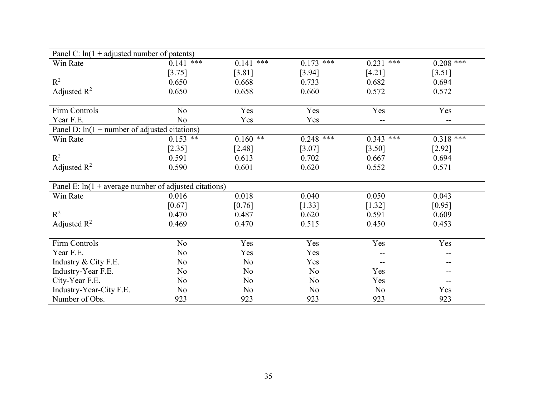| Panel C: $ln(1 + adjusted number of patterns)$          |                |                |                |                |                          |
|---------------------------------------------------------|----------------|----------------|----------------|----------------|--------------------------|
| Win Rate                                                | $0.141$ ***    | $***$<br>0.141 | 0.173<br>***   | 0.231<br>***   | $0.208$ ***              |
|                                                         | [3.75]         | [3.81]         | [3.94]         | [4.21]         | [3.51]                   |
| $R^2$                                                   | 0.650          | 0.668          | 0.733          | 0.682          | 0.694                    |
| Adjusted $R^2$                                          | 0.650          | 0.658          | 0.660          | 0.572          | 0.572                    |
|                                                         |                |                |                |                |                          |
| Firm Controls                                           | N <sub>o</sub> | Yes            | Yes            | Yes            | Yes                      |
| Year F.E.                                               | No             | Yes            | Yes            |                | $\overline{\phantom{m}}$ |
| Panel D: $ln(1 + number of adjusted citations)$         |                |                |                |                |                          |
| Win Rate                                                | $0.153$ **     | $0.160**$      | $0.248$ ***    | $0.343$ ***    | $0.318$ ***              |
|                                                         | [2.35]         | [2.48]         | [3.07]         | [3.50]         | [2.92]                   |
| $R^2$                                                   | 0.591          | 0.613          | 0.702          | 0.667          | 0.694                    |
| Adjusted $R^2$                                          | 0.590          | 0.601          | 0.620          | 0.552          | 0.571                    |
|                                                         |                |                |                |                |                          |
| Panel E: $ln(1 + average number of adjusted citations)$ |                |                |                |                |                          |
| Win Rate                                                | 0.016          | 0.018          | 0.040          | 0.050          | 0.043                    |
|                                                         | $[0.67]$       | [0.76]         | [1.33]         | $[1.32]$       | $[0.95]$                 |
| $R^2$                                                   | 0.470          | 0.487          | 0.620          | 0.591          | 0.609                    |
| Adjusted $R^2$                                          | 0.469          | 0.470          | 0.515          | 0.450          | 0.453                    |
|                                                         |                |                |                |                |                          |
| Firm Controls                                           | N <sub>o</sub> | Yes            | Yes            | Yes            | Yes                      |
| Year F.E.                                               | N <sub>o</sub> | Yes            | Yes            |                | --                       |
| Industry & City F.E.                                    | N <sub>o</sub> | N <sub>o</sub> | Yes            | --             |                          |
| Industry-Year F.E.                                      | No             | N <sub>o</sub> | No             | Yes            |                          |
| City-Year F.E.                                          | No             | N <sub>o</sub> | No             | Yes            | --                       |
| Industry-Year-City F.E.                                 | No             | No             | N <sub>o</sub> | N <sub>o</sub> | Yes                      |
| Number of Obs.                                          | 923            | 923            | 923            | 923            | 923                      |